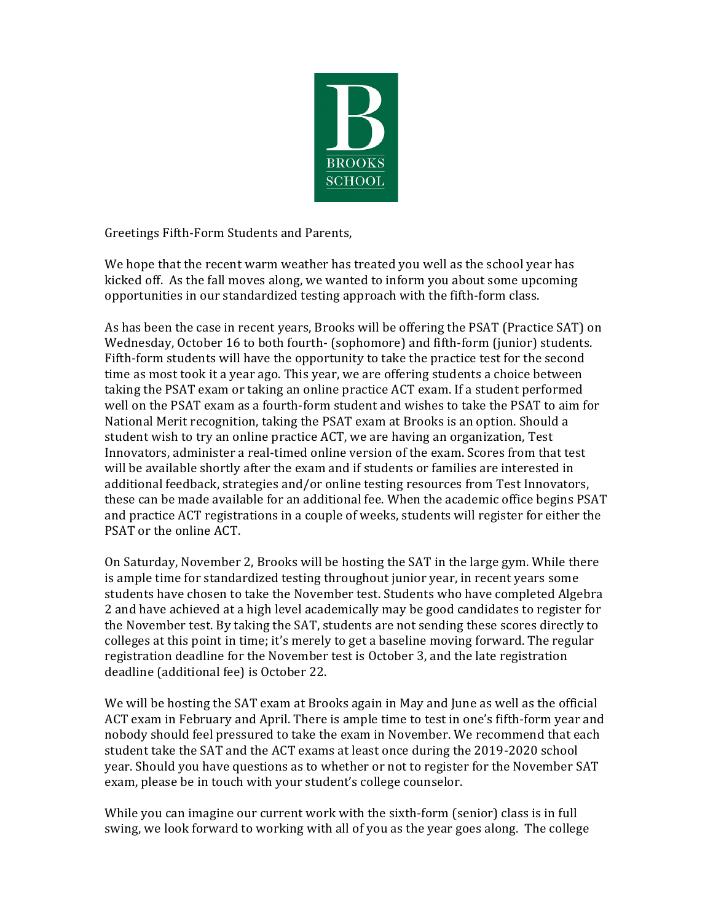

Greetings Fifth-Form Students and Parents,

We hope that the recent warm weather has treated you well as the school year has kicked off. As the fall moves along, we wanted to inform you about some upcoming opportunities in our standardized testing approach with the fifth-form class.

As has been the case in recent years, Brooks will be offering the PSAT (Practice SAT) on Wednesday, October 16 to both fourth- (sophomore) and fifth-form (junior) students. Fifth-form students will have the opportunity to take the practice test for the second time as most took it a year ago. This year, we are offering students a choice between taking the PSAT exam or taking an online practice ACT exam. If a student performed well on the PSAT exam as a fourth-form student and wishes to take the PSAT to aim for National Merit recognition, taking the PSAT exam at Brooks is an option. Should a student wish to try an online practice ACT, we are having an organization, Test Innovators, administer a real-timed online version of the exam. Scores from that test will be available shortly after the exam and if students or families are interested in additional feedback, strategies and/or online testing resources from Test Innovators, these can be made available for an additional fee. When the academic office begins PSAT and practice ACT registrations in a couple of weeks, students will register for either the PSAT or the online ACT.

On Saturday, November 2, Brooks will be hosting the SAT in the large gym. While there is ample time for standardized testing throughout junior year, in recent years some students have chosen to take the November test. Students who have completed Algebra 2 and have achieved at a high level academically may be good candidates to register for the November test. By taking the SAT, students are not sending these scores directly to colleges at this point in time; it's merely to get a baseline moving forward. The regular registration deadline for the November test is October 3, and the late registration deadline (additional fee) is October 22.

We will be hosting the SAT exam at Brooks again in May and June as well as the official ACT exam in February and April. There is ample time to test in one's fifth-form year and nobody should feel pressured to take the exam in November. We recommend that each student take the SAT and the ACT exams at least once during the 2019-2020 school year. Should you have questions as to whether or not to register for the November SAT exam, please be in touch with your student's college counselor.

While you can imagine our current work with the sixth-form (senior) class is in full swing, we look forward to working with all of you as the year goes along. The college